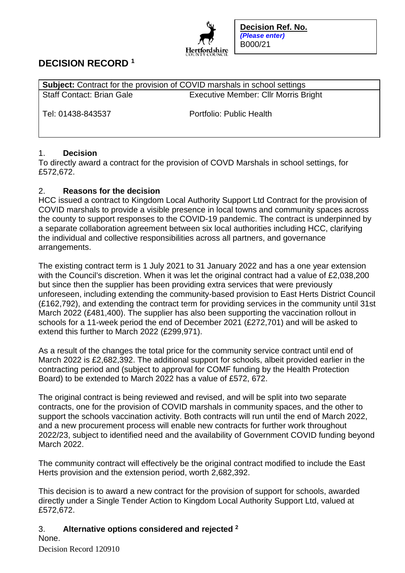

**Decision Ref. No.**  *(Please enter)*  B000/21

# **DECISION RECORD <sup>1</sup>**

| <b>Subject:</b> Contract for the provision of COVID marshals in school settings |                                             |
|---------------------------------------------------------------------------------|---------------------------------------------|
| <b>Staff Contact: Brian Gale</b>                                                | <b>Executive Member: Cllr Morris Bright</b> |
| Tel: 01438-843537                                                               | Portfolio: Public Health                    |

## 1. **Decision**

To directly award a contract for the provision of COVD Marshals in school settings, for £572,672.

## 2. **Reasons for the decision**

HCC issued a contract to Kingdom Local Authority Support Ltd Contract for the provision of COVID marshals to provide a visible presence in local towns and community spaces across the county to support responses to the COVID-19 pandemic. The contract is underpinned by a separate collaboration agreement between six local authorities including HCC, clarifying the individual and collective responsibilities across all partners, and governance arrangements.

The existing contract term is 1 July 2021 to 31 January 2022 and has a one year extension with the Council's discretion. When it was let the original contract had a value of £2,038,200 but since then the supplier has been providing extra services that were previously unforeseen, including extending the community-based provision to East Herts District Council (£162,792), and extending the contract term for providing services in the community until 31st March 2022 (£481,400). The supplier has also been supporting the vaccination rollout in schools for a 11-week period the end of December 2021 (£272,701) and will be asked to extend this further to March 2022 (£299,971).

As a result of the changes the total price for the community service contract until end of March 2022 is £2,682,392. The additional support for schools, albeit provided earlier in the contracting period and (subject to approval for COMF funding by the Health Protection Board) to be extended to March 2022 has a value of £572, 672.

The original contract is being reviewed and revised, and will be split into two separate contracts, one for the provision of COVID marshals in community spaces, and the other to support the schools vaccination activity. Both contracts will run until the end of March 2022, and a new procurement process will enable new contracts for further work throughout 2022/23, subject to identified need and the availability of Government COVID funding beyond March 2022.

The community contract will effectively be the original contract modified to include the East Herts provision and the extension period, worth 2,682,392.

This decision is to award a new contract for the provision of support for schools, awarded directly under a Single Tender Action to Kingdom Local Authority Support Ltd, valued at £572,672.

# 3. **Alternative options considered and rejected <sup>2</sup>**

None.

Decision Record 120910